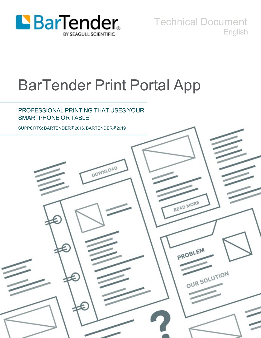

Technical Document English

# BarTender Print Portal App

## PROFESSIONAL PRINTING THAT USES YOUR SMARTPHONE OR TABLET

SUPPORTS: BARTENDER® 2016, BARTENDER® 2019

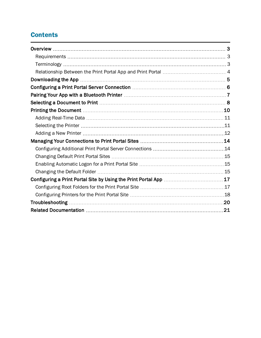# **Contents**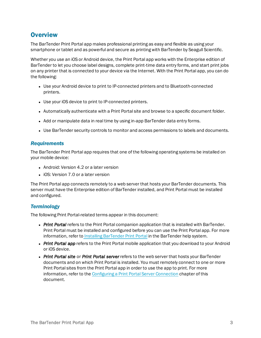## <span id="page-2-0"></span>**Overview**

The BarTender Print Portal app makes professional printing as easy and flexible as using your smartphone or tablet and as powerful and secure as printing with BarTender by Seagull Scientific.

Whether you use an iOS or Android device, the Print Portal app works with the Enterprise edition of BarTender to let you choose label designs, complete print-time data entry forms, and start print jobs on any printer that is connected to your device via the Internet. With the Print Portal app, you can do the following:

- Use your Android device to print to IP-connected printers and to Bluetooth-connected printers.
- Use your iOS device to print to IP-connected printers.
- Automatically authenticate with a Print Portal site and browse to a specific document folder.
- Add or manipulate data in real time by using in-app BarTender data entry forms.
- Use BarTender security controls to monitor and access permissions to labels and documents.

#### <span id="page-2-1"></span>*Requirements*

The BarTender Print Portal app requires that one of the following operating systems be installed on your mobile device:

- Android: Version 4.2 or a later version
- iOS: Version 7.0 or a later version

The Print Portal app connects remotely to a web server that hosts your BarTender documents. This server must have the Enterprise edition of BarTender installed, and Print Portal must be installed and configured.

#### <span id="page-2-2"></span>*Terminology*

The following Print Portal-related terms appear in this document:

- **Print Portal** refers to the Print Portal companion application that is installed with BarTender. Print Portal must be installed and configured before you can use the Print Portal app. For more information, refer to Installing [BarTender](http://help.seagullscientific.com/2019/en/#GS_Install_PrintPortal.htm) Print Portal in the BarTender help system.
- *Print Portal app* refers to the Print Portal mobile application that you download to your Android or iOS device.
- <sup>l</sup> *Print Portal site* or *Print Portal server* refers to the web server that hosts your BarTender documents and on which Print Portal is installed. You must remotely connect to one or more Print Portal sites from the Print Portal app in order to use the app to print. For more information, refer to the Configuring a Print Portal Server [Connection](#page-5-0) chapter of this document.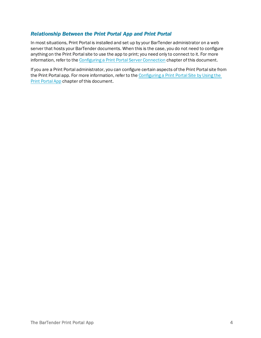## <span id="page-3-0"></span>*Relationship Between the Print Portal App and Print Portal*

In most situations, Print Portal is installed and set up by your BarTender administrator on a web server that hosts your BarTender documents. When this is the case, you do not need to configure anything on the Print Portal site to use the app to print; you need only to connect to it. For more information, refer to the Configuring a Print Portal Server [Connection](#page-5-0) chapter of this document.

If you are a Print Portal administrator, you can configure certain aspects of the Print Portal site from the Print Portal app. For more information, refer to the [Configuring](#page-16-0) a Print Portal Site by Using the Print [Portal](#page-16-0) App chapter of this document.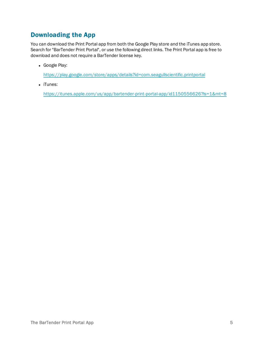## <span id="page-4-0"></span>Downloading the App

You can download the Print Portal app from both the Google Play store and the iTunes app store. Search for "BarTender Print Portal", or use the following direct links. The Print Portal app is free to download and does not require a BarTender license key.

• Google Play:

<https://play.google.com/store/apps/details?id=com.seagullscientific.printportal>

• iTunes:

<https://itunes.apple.com/us/app/bartender-print-portal-app/id1150556626?ls=1&mt=8>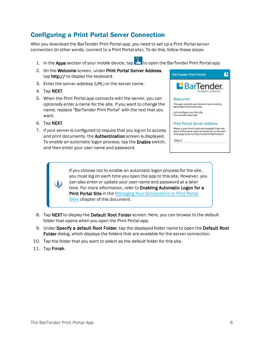# <span id="page-5-0"></span>Configuring a Print Portal Server Connection

After you download the BarTender Print Portal app, you need to set up a Print Portal server connection (in other words, connect to a Print Portal site). To do this, follow these steps:

- 1. In the Apps section of your mobile device, tap the open the BarTender Print Portal app.
- 2. On the Welcome screen, under Print Portal Server Address, tap http:// to display the keyboard.
- 3. Enter the server address (URL) or the server name.
- 4. Tap NEXT.
- 5. When the Print Portal app connects with the server, you can optionally enter a name for the site. If you want to change the name, replace "BarTender Print Portal" with the text that you want.
- 6. Tap NEXT.
- 7. If your server is configured to require that you log on to access and print documents, the Authentication screen is displayed. To enable an automatic logon process, tap the **Enable** switch, and then enter your user name and password.



If you choose not to enable an automatic logon process for the site, you must log on each time you open the app to this site. However, you can also enter or update your user name and password at a later time. For more information, refer to Enabling Automatic Logon for a **Print Portal Site in the Managing Your [Connections](#page-13-0) to Print Portal** [Sites](#page-13-0) chapter of this document.

- 8. Tap NEXT to display the Default Root Folder screen. Here, you can browse to the default folder that opens when you open the Print Portal app.
- 9. Under Specify a default Root Folder, tap the displayed folder name to open the Default Root Folder dialog, which displays the folders that are available for the server connection.
- 10. Tap the folder that you want to select as the default folder for this site.
- 11. Tap Finish.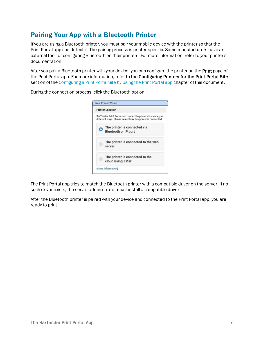# <span id="page-6-0"></span>Pairing Your App with a Bluetooth Printer

During the connection process, click the Bluetooth option.

If you are using a Bluetooth printer, you must pair your mobile device with the printer so that the Print Portal app can detect it. The pairing process is printer-specific. Some manufacturers have an external tool for configuring Bluetooth on their printers. For more information, refer to your printer's documentation.

After you pair a Bluetooth printer with your device, you can configure the printer on the Print page of the Print Portal app. For more information, refer to the Configuring Printers for the Print Portal Site section of the [Configuring](#page-16-0) a Print Portal Site by Using the Print Portal app chapter of this document.

> **New Printer Wizard Printer Location**



The Print Portal app tries to match the Bluetooth printer with a compatible driver on the server. If no such driver exists, the server administrator must install a compatible driver.

After the Bluetooth printer is paired with your device and connected to the Print Portal app, you are ready to print.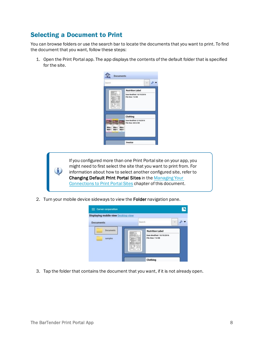# <span id="page-7-0"></span>Selecting a Document to Print

You can browse folders or use the search bar to locate the documents that you want to print. To find the document that you want, follow these steps:

1. Open the Print Portal app. The app displays the contents of the default folder that is specified for the site.

| Search |                                                                |
|--------|----------------------------------------------------------------|
|        | <b>Nutrition Label</b>                                         |
|        | Date Modified: 10/19/2016<br>File Size: 7.6 KB                 |
|        | Clothing                                                       |
|        | Date Modified: 2/18/2016<br>File Size: 665.6 KB<br><b>Barn</b> |

If you configured more than one Print Portal site on your app, you might need to first select the site that you want to print from. For information about how to select another configured site, refer to Changing Default Print Portal Sites in the [Managing](#page-13-0) Your [Connections](#page-13-0) to Print Portal Sites chapter of this document.

2. Turn your mobile device sideways to view the Folder navigation pane.



3. Tap the folder that contains the document that you want, if it is not already open.

i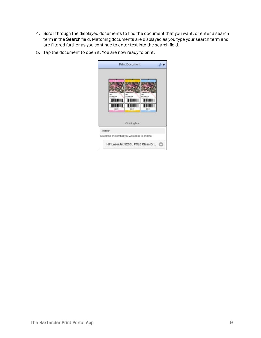- 4. Scroll through the displayed documents to find the document that you want, or enter a search term in the Search field. Matching documents are displayed as you type your search term and are filtered further as you continue to enter text into the search field.
- 5. Tap the document to open it. You are now ready to print.

|         |                                                     | <b>Print Document</b> |        |  |
|---------|-----------------------------------------------------|-----------------------|--------|--|
|         | 129.99                                              | 125/66                | 126.98 |  |
|         |                                                     | Clothing.btw          |        |  |
| Printer |                                                     |                       |        |  |
|         | Select the printer that you would like to print to: |                       |        |  |
|         | HP LaserJet 5200L PCL6 Class Dri                    |                       |        |  |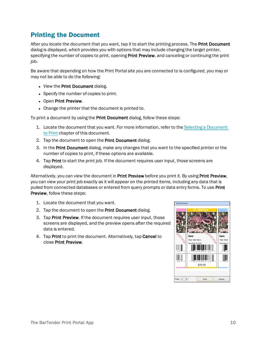# <span id="page-9-0"></span>Printing the Document

After you locate the document that you want, tap it to start the printing process. The Print Document dialog is displayed, which provides you with options that may include changing the target printer, specifying the number of copies to print, opening **Print Preview**, and canceling or continuing the print job.

Be aware that depending on how the Print Portal site you are connected to is configured, you may or may not be able to do the following:

- View the Print Document dialog.
- Specify the number of copies to print.
- Open Print Preview.
- Change the printer that the document is printed to.

To print a document by using the Print Document dialog, follow these steps:

- 1. Locate the document that you want. For more information, refer to the Selecting a [Document](#page-7-0) to [Print](#page-7-0) chapter of this document.
- 2. Tap the document to open the Print Document dialog.
- 3. In the Print Document dialog, make any changes that you want to the specified printer or the number of copies to print, if these options are available.
- 4. Tap Print to start the print job. If the document requires user input, those screens are displayed.

Alternatively, you can view the document in Print Preview before you print it. By using Print Preview, you can view your print job exactly as it will appear on the printed items, including any data that is pulled from connected databases or entered from query prompts or data entry forms. To use Print Preview, follow these steps:

- 1. Locate the document that you want.
- 2. Tap the document to open the Print Document dialog.
- 3. Tap Print Preview. If the document requires user input, those screens are displayed, and the preview opens after the required data is entered.
- 4. Tap Print to print the document. Alternatively, tap Cancel to close Print Preview.

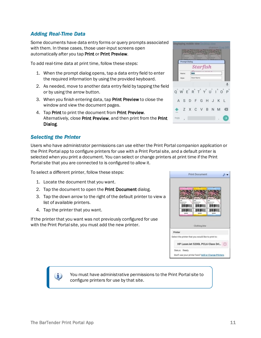i.

## <span id="page-10-0"></span>*Adding Real-Time Data*

Some documents have data entry forms or query prompts associated with them. In these cases, those user-input screens open automatically after you tap Print or Print Preview.

To add real-time data at print time, follow these steps:

- 1. When the prompt dialog opens, tap a data entry field to enter the required information by using the provided keyboard.
- 2. As needed, move to another data entry field by tapping the field or by using the arrow button.
- 3. When you finish entering data, tap Print Preview to close the window and view the document pages.
- 4. Tap Print to print the document from Print Preview. Alternatively, close Print Preview, and then print from the Print Dialog.

## <span id="page-10-1"></span>*Selecting the Printer*

Users who have administrator permissions can use either the Print Portal companion application or the Print Portal app to configure printers for use with a Print Portal site, and a default printer is selected when you print a document. You can select or change printers at print time if the Print Portal site that you are connected to is configured to allow it.

To select a different printer, follow these steps:

- 1. Locate the document that you want.
- 2. Tap the document to open the Print Document dialog.
- 3. Tap the down arrow to the right of the default printer to view a list of available printers.
- 4. Tap the printer that you want.

If the printer that you want was not previously configured for use with the Print Portal site, you must add the new printer.



Don't see your printer here? Add or Change Printers

Status: Ready

**Print Document** 

A.

You must have administrative permissions to the Print Portal site to configure printers for use by that site.

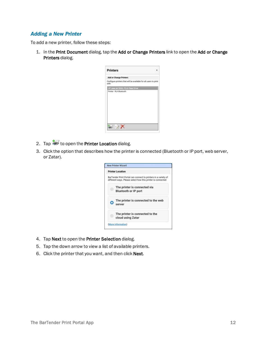## <span id="page-11-0"></span>*Adding a New Printer*

To add a new printer, follow these steps:

1. In the Print Document dialog, tap the Add or Change Printers link to open the Add or Change Printers dialog.

| <b>Printers</b>                                                          | 责 |
|--------------------------------------------------------------------------|---|
| <b>Add or Change Printers</b>                                            |   |
| Configure printers that will be available for all users to print<br>with |   |
| HP LaserJet 5200L PCL6 Class Driver                                      |   |
|                                                                          |   |
| <b>ist</b>                                                               |   |

- 2. Tap to open the Printer Location dialog.
- 3. Click the option that describes how the printer is connected (Bluetooth or IP port, web server, or Zatar).



- 4. Tap Next to open the Printer Selection dialog.
- 5. Tap the down arrow to view a list of available printers.
- 6. Click the printer that you want, and then click Next.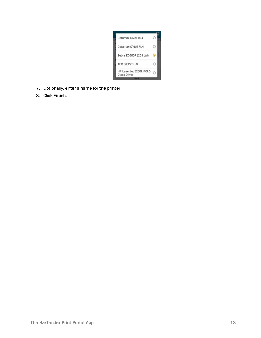

- 7. Optionally, enter a name for the printer.
- 8. Click Finish.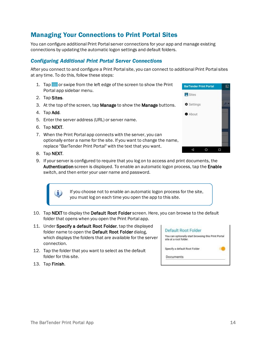# <span id="page-13-0"></span>Managing Your Connections to Print Portal Sites

You can configure additional Print Portal server connections for your app and manage existing connections by updating the automatic logon settings and default folders.

## <span id="page-13-1"></span>*Configuring Additional Print Portal Server Connections*

After you connect to and configure a Print Portal site, you can connect to additional Print Portal sites at any time. To do this, follow these steps:

- 1. Tap  $\Box$  or swipe from the left edge of the screen to show the Print Portal app sidebar menu.
- 2. Tap Sites.
- 3. At the top of the screen, tap Manage to show the Manage buttons.
- 4. Tap Add.
- 5. Enter the server address (URL) or server name.
- 6. Tap NEXT.
- 7. When the Print Portal app connects with the server, you can optionally enter a name for the site. If you want to change the name, replace "BarTender Print Portal" with the text that you want.



8. Tap NEXT.

i.

9. If your server is configured to require that you log on to access and print documents, the Authentication screen is displayed. To enable an automatic logon process, tap the Enable switch, and then enter your user name and password.

> If you choose not to enable an automatic logon process for the site, you must log on each time you open the app to this site.

- 10. Tap NEXT to display the Default Root Folder screen. Here, you can browse to the default folder that opens when you open the Print Portal app.
- 11. Under Specify a default Root Folder, tap the displayed folder name to open the Default Root Folder dialog, which displays the folders that are available for the server connection.
- 12. Tap the folder that you want to select as the default folder for this site.
- Default Root Folder You can optionally start browsing this Print Portal site at a root folder. Specify a default Root Folder Documents

13. Tap Finish.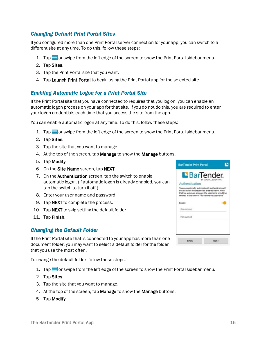## <span id="page-14-0"></span>*Changing Default Print Portal Sites*

If you configured more than one Print Portal server connection for your app, you can switch to a different site at any time. To do this, follow these steps:

- 1. Tap  $\equiv$  or swipe from the left edge of the screen to show the Print Portal sidebar menu.
- 2. Tap Sites.
- 3. Tap the Print Portal site that you want.
- 4. Tap Launch Print Portal to begin using the Print Portal app for the selected site.

## <span id="page-14-1"></span>*Enabling Automatic Logon for a Print Portal Site*

If the Print Portal site that you have connected to requires that you log on, you can enable an automatic logon process on your app for that site. If you do not do this, you are required to enter your logon credentials each time that you access the site from the app.

You can enable automatic logon at any time. To do this, follow these steps:

- 1. Tap  $\equiv$  or swipe from the left edge of the screen to show the Print Portal sidebar menu.
- 2. Tap Sites.
- 3. Tap the site that you want to manage.
- 4. At the top of the screen, tap **Manage** to show the **Manage** buttons.
- 5. Tap Modify.
- 6. On the Site Name screen, tap NEXT.
- 7. On the Authentication screen, tap the switch to enable automatic logon. (If automatic logon is already enabled, you can tap the switch to turn it off.)
- 8. Enter your user name and password.
- 9. Tap NEXT to complete the process.
- 10. Tap NEXT to skip setting the default folder.
- <span id="page-14-2"></span>11. Tap Finish.

#### *Changing the Default Folder*

If the Print Portal site that is connected to your app has more than one document folder, you may want to select a default folder for the folder that you use the most often.

To change the default folder, follow these steps:

- 1. Tap  $\Box$  or swipe from the left edge of the screen to show the Print Portal sidebar menu.
- 2. Tap Sites.
- 3. Tap the site that you want to manage.
- 4. At the top of the screen, tap Manage to show the Manage buttons.
- 5. Tap Modify.

|                | <b>BarTender</b><br>BY SEAGULL SCIENTIFIC                                                                                                                                                                    |
|----------------|--------------------------------------------------------------------------------------------------------------------------------------------------------------------------------------------------------------|
| Authentication |                                                                                                                                                                                                              |
|                | You can optionally automatically authenticate with<br>this site with the credentials entered below. Note<br>that for a domain account, the usemame should be<br>entered in the form of "domainname\usemame". |
| Enable         |                                                                                                                                                                                                              |
| Username       |                                                                                                                                                                                                              |
| Password       |                                                                                                                                                                                                              |
|                |                                                                                                                                                                                                              |
|                |                                                                                                                                                                                                              |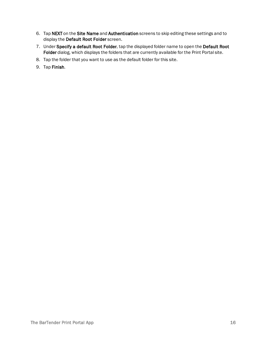- 6. Tap NEXT on the Site Name and Authentication screens to skip editing these settings and to display the Default Root Folder screen.
- 7. Under Specify a default Root Folder, tap the displayed folder name to open the Default Root Folder dialog, which displays the folders that are currently available for the Print Portal site.
- 8. Tap the folder that you want to use as the default folder for this site.
- 9. Tap Finish.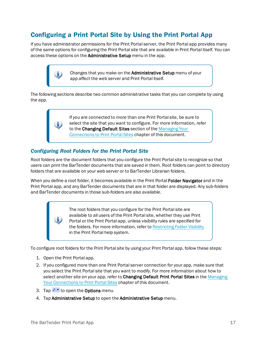# <span id="page-16-0"></span>Configuring a Print Portal Site by Using the Print Portal App

If you have administrator permissions for the Print Portal server, the Print Portal app provides many of the same options for configuring the Print Portal site that are available in Print Portal itself. You can access these options on the Administrative Setup menu in the app.

> Changes that you make on the Administrative Setup menu of your app affect the web server and Print Portal itself.

The following sections describe two common administrative tasks that you can complete by using the app.

> If you are connected to more than one Print Portal site, be sure to select the site that you want to configure. For more information, refer to the Changing Default Sites section of the [Managing](#page-13-0) Your [Connections](#page-13-0) to Print Portal Sites chapter of this document.

## <span id="page-16-1"></span>*Configuring Root Folders for the Print Portal Site*

Root folders are the document folders that you configure the Print Portal site to recognize so that users can print the BarTender documents that are saved in them. Root folders can point to directory folders that are available on your web server or to BarTender Librarian folders.

When you define a root folder, it becomes available in the Print Portal Folder Navigator and in the Print Portal app, and any BarTender documents that are in that folder are displayed. Any sub-folders and BarTender documents in those sub-folders are also available.

> The root folders that you configure for the Print Portal site are available to all users of the Print Portal site, whether they use Print Portal or the Print Portal app, unless visibility rules are specified for the folders. For more information, refer to [Restricting](http://help.seagullscientific.com/2019/en/#../Subsystems/PrintPortal/Content/RestrictingFolderVisibility.htm) Folder Visibility in the Print Portal help system.

To configure root folders for the Print Portal site by using your Print Portal app, follow these steps:

1. Open the Print Portal app.

O

- 2. If you configured more than one Print Portal server connection for your app, make sure that you select the Print Portal site that you want to modify. For more information about how to select another site on your app, refer to Changing Default Print Portal Sites in the [Managing](#page-13-0) Your [Connections](#page-13-0) to Print Portal Sites chapter of this document.
- 3. Tap  $\bullet\bullet\bullet$  to open the **Options** menu.
- 4. Tap Administrative Setup to open the Administrative Setup menu.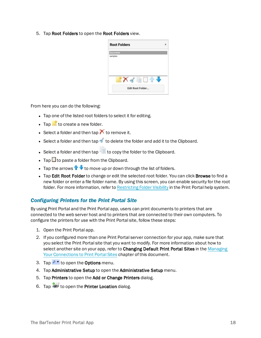5. Tap Root Folders to open the Root Folders view.

|           | <b>Root Folders</b> |
|-----------|---------------------|
| Documents |                     |
| samples   |                     |
|           |                     |
|           |                     |
|           |                     |
|           |                     |
|           | ≅                   |

From here you can do the following:

- Tap one of the listed root folders to select it for editing.
- $\bullet$  Tap  $\bullet$  to create a new folder.
- **Select a folder and then tap**  $\bigwedge$  **to remove it.**
- **Select a folder and then tap to delete the folder and add it to the Clipboard.**
- **Select a folder and then tap to copy the folder to the Clipboard.**
- $\cdot$  Tap  $\blacksquare$  to paste a folder from the Clipboard.
- Tap the arrows  $\blacklozenge$  to move up or down through the list of folders.
- Tap Edit Root Folder to change or edit the selected root folder. You can click Browse to find a new folder or enter a file folder name. By using this screen, you can enable security for the root folder. For more information, refer to [Restricting](http://help.seagullscientific.com/2019/en/#../Subsystems/PrintPortal/Content/RestrictingFolderVisibility.htm) Folder Visibility in the Print Portal help system.

## <span id="page-17-0"></span>*Configuring Printers for the Print Portal Site*

By using Print Portal and the Print Portal app, users can print documents to printers that are connected to the web server host and to printers that are connected to their own computers. To configure the printers for use with the Print Portal site, follow these steps:

- 1. Open the Print Portal app.
- 2. If you configured more than one Print Portal server connection for your app, make sure that you select the Print Portal site that you want to modify. For more information about how to select another site on your app, refer to Changing Default Print Portal Sites in the [Managing](#page-13-0) Your [Connections](#page-13-0) to Print Portal Sites chapter of this document.
- 3. Tap  $\bullet\bullet\bullet$  to open the **Options** menu.
- 4. Tap Administrative Setup to open the Administrative Setup menu.
- 5. Tap Printers to open the Add or Change Printers dialog.
- 6. Tap  $\bullet$  to open the Printer Location dialog.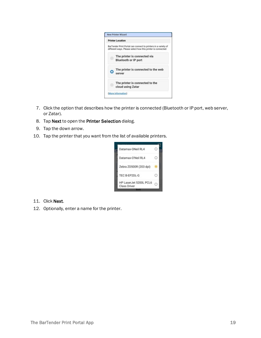

- 7. Click the option that describes how the printer is connected (Bluetooth or IP port, web server, or Zatar).
- 8. Tap Next to open the Printer Selection dialog.
- 9. Tap the down arrow.
- 10. Tap the printer that you want from the list of available printers.



- 11. Click Next.
- 12. Optionally, enter a name for the printer.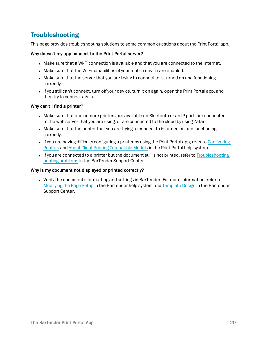# <span id="page-19-0"></span>Troubleshooting

This page provides troubleshooting solutions to some common questions about the Print Portal app.

#### Why doesn't my app connect to the Print Portal server?

- Make sure that a Wi-Fi connection is available and that you are connected to the Internet.
- Make sure that the Wi-Fi capabilities of your mobile device are enabled.
- Make sure that the server that you are trying to connect to is turned on and functioning correctly.
- If you still can't connect, turn off your device, turn it on again, open the Print Portal app, and then try to connect again.

#### Why can't I find a printer?

- Make sure that one or more printers are available on Bluetooth or an IP port, are connected to the web server that you are using, or are connected to the cloud by using Zatar.
- Make sure that the printer that you are trying to connect to is turned on and functioning correctly.
- If you are having difficulty configuring a printer by using the Print Portal app, refer to [Configuring](http://help.seagullscientific.com/2019/en/#../Subsystems/PrintPortal/Content/ConfiguringPrinters.htm) [Printers](http://help.seagullscientific.com/2019/en/#../Subsystems/PrintPortal/Content/ConfiguringPrinters.htm) and About Client Printing [Compatible](http://help.seagullscientific.com/2019/en/#../Subsystems/PrintPortal/Content/ConfiguringCompatiblePrinters.htm) Models in the Print Portal help system.
- If you are connected to a printer but the document still is not printed, refer to [Troubleshooting](https://support.seagullscientific.com/hc/en-us/articles/204802918-Troubleshooting-printing-problems) printing [problems](https://support.seagullscientific.com/hc/en-us/articles/204802918-Troubleshooting-printing-problems) in the BarTender Support Center.

#### Why is my document not displayed or printed correctly?

• Verify the document's formatting and settings in BarTender. For more information, refer to [Modifying](http://help.seagullscientific.com/2019/en/#Modifying_Page_Setup_LP.htm) the Page Setup in the BarTender help system and [Template](https://support.seagullscientific.com/hc/en-us/categories/200267897-Template-Design) Design in the BarTender Support Center.